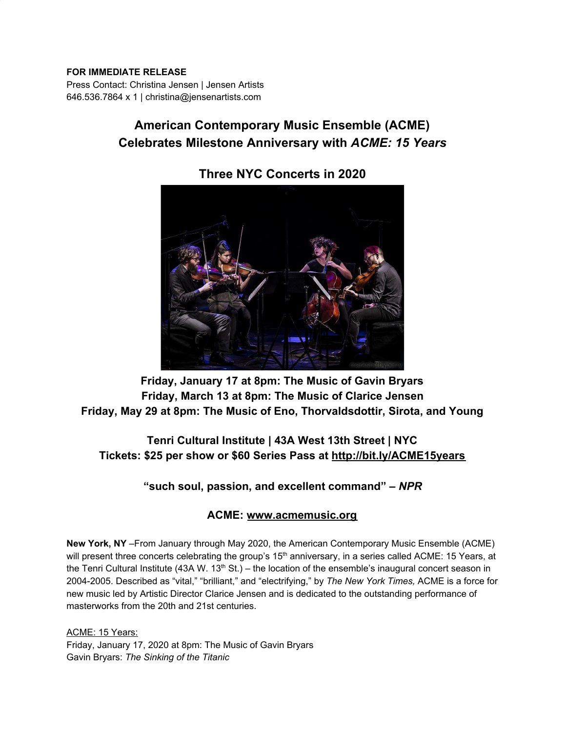#### **FOR IMMEDIATE RELEASE**

Press Contact: Christina Jensen | Jensen Artists 646.536.7864 x 1 | christina@jensenartists.com

# **American Contemporary Music Ensemble (ACME) Celebrates Milestone Anniversary with** *ACME: 15 Years*



## **Three NYC Concerts in 2020**

**Friday, January 17 at 8pm: The Music of Gavin Bryars Friday, March 13 at 8pm: The Music of Clarice Jensen Friday, May 29 at 8pm: The Music of Eno, Thorvaldsdottir, Sirota, and Young**

## **Tenri Cultural Institute | 43A West 13th Street | NYC Tickets: \$25 per show or \$60 Series Pass at [http://bit.ly/ACME15years](https://u7061146.ct.sendgrid.net/wf/click?upn=v19UDW8FsixrCS-2Fm9-2By91DMiLck0uKzgv-2FophsPcdvUnqhs-2BerjjTq9LTE7GP25Q_DruDjhchMBr5xQkz3h1qcOnjZc-2BCsAVhraQ7DxYhbA2-2BHLQf-2BHKWaWi2FTM7QHo-2Fd7eCMDRMAhfd2mcWSs-2FpzNW9MmuPwV7rH-2FbDd7DdSSZ-2FuvWO-2FbOqPjXXZEEA-2Buy8dV1LhYYPnX43W8oQ1Gd8rsY8Lg0mxh1bbSVs5A3Pd-2Bk-2FP-2BmJwUxARmuYi-2FJpBxzkb-2BRR3ug3ML-2Bbx8HbvwYntTnOeaHgEqC34SbAMsXNKNExKLhl2NcTpmtJJGqRDdeIqWXCb-2B6x0YNF5UHRIpsIFsBoDNPXvNFWxy19C1-2BxJt8JWOhfz06kqkR9z3YUuU-2F0yyrGRgbis9sCloDdQdLbuHmV4jM-2FTI3CM3gCC-2FbnEFA-3D)**

**"such soul, passion, and excellent command" –** *NPR*

#### **ACME: [www.acmemusic.org](https://u7061146.ct.sendgrid.net/wf/click?upn=84Em28S1K9SvtzcUtu04ErPA-2BxsVxjlks-2FKrw3Hlb7o-3D_DruDjhchMBr5xQkz3h1qcOnjZc-2BCsAVhraQ7DxYhbA2-2BHLQf-2BHKWaWi2FTM7QHo-2Fd7eCMDRMAhfd2mcWSs-2FpzNW9MmuPwV7rH-2FbDd7DdSSZ-2FuvWO-2FbOqPjXXZEEA-2Buy8dV1LhYYPnX43W8oQ1Gd8rsY8Lg0mxh1bbSVs5A3Pd-2Bk-2FP-2BmJwUxARmuYi-2FJpBxzkb-2BRR3ug3ML-2Bbx8HbvwYntdFTcM8CYkSK4Grbeimu9mAMewK6QLmBsyJhJGDGvsVcGyONL2rHYCT8ZeIz0UgvEkh7KwzE-2B8LOlewtR9N7juFGKJezebFA-2FNEO5Y49IFT6-2FIsEnsBoPGmvkZqpY2zKJJbQWbAUqULYioVYS59Qptg-3D)**

**New York, NY** –From January through May 2020, the American Contemporary Music Ensemble (ACME) will present three concerts celebrating the group's 15<sup>th</sup> anniversary, in a series called ACME: 15 Years, at the Tenri Cultural Institute (43A W. 13<sup>th</sup> St.) – the location of the ensemble's inaugural concert season in 2004-2005. Described as "vital," "brilliant," and "electrifying," by *The New York Times,* ACME is a force for new music led by Artistic Director Clarice Jensen and is dedicated to the outstanding performance of masterworks from the 20th and 21st centuries.

ACME: 15 Years: Friday, January 17, 2020 at 8pm: The Music of Gavin Bryars Gavin Bryars: *The Sinking of the Titanic*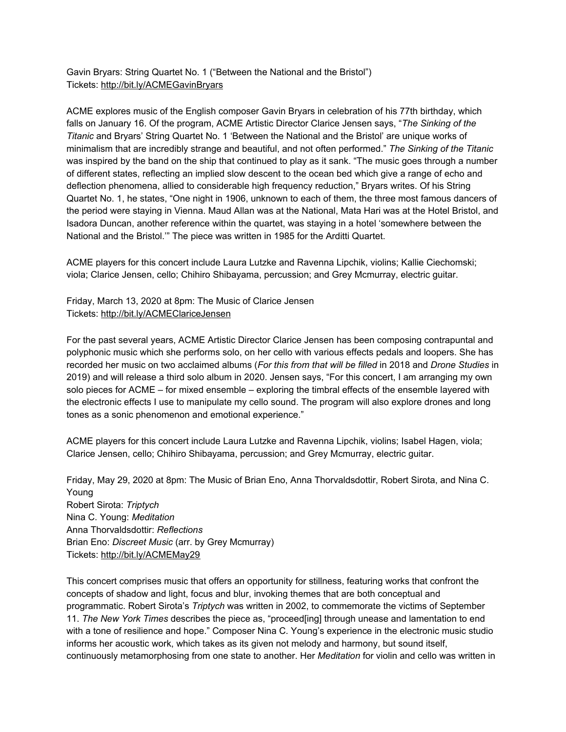Gavin Bryars: String Quartet No. 1 ("Between the National and the Bristol") Tickets: [http://bit.ly/ACMEGavinBryars](https://u7061146.ct.sendgrid.net/wf/click?upn=v19UDW8FsixrCS-2Fm9-2By91B3TnRUt-2FM-2FOxhVBS-2FcS63I78h-2FfOEgHEr3otLzWC4p-2B_DruDjhchMBr5xQkz3h1qcOnjZc-2BCsAVhraQ7DxYhbA2-2BHLQf-2BHKWaWi2FTM7QHo-2Fd7eCMDRMAhfd2mcWSs-2FpzNW9MmuPwV7rH-2FbDd7DdSSZ-2FuvWO-2FbOqPjXXZEEA-2Buy8dV1LhYYPnX43W8oQ1Gd8rsY8Lg0mxh1bbSVs5A3Pd-2Bk-2FP-2BmJwUxARmuYi-2FJpBxzkb-2BRR3ug3ML-2Bbx8HbvwYntR51MRcQIec7GvTZLKWcDetU8gkykS53y0UsAsyeJMfZx6yODiWLGh6OdfMSR9ep2xSpPn7eqChAtAuD7-2Fk56ppvKAsqGt9MB71Nv1lN5AfMK5F-2Ba-2F-2BHD-2FPbteX53eVxqhLvnMKitOndQ0p2XvEbv3g-3D)

ACME explores music of the English composer Gavin Bryars in celebration of his 77th birthday, which falls on January 16. Of the program, ACME Artistic Director Clarice Jensen says, "*The Sinking of the Titanic* and Bryars' String Quartet No. 1 'Between the National and the Bristol' are unique works of minimalism that are incredibly strange and beautiful, and not often performed." *The Sinking of the Titanic* was inspired by the band on the ship that continued to play as it sank. "The music goes through a number of different states, reflecting an implied slow descent to the ocean bed which give a range of echo and deflection phenomena, allied to considerable high frequency reduction," Bryars writes. Of his String Quartet No. 1, he states, "One night in 1906, unknown to each of them, the three most famous dancers of the period were staying in Vienna. Maud Allan was at the National, Mata Hari was at the Hotel Bristol, and Isadora Duncan, another reference within the quartet, was staying in a hotel 'somewhere between the National and the Bristol.'" The piece was written in 1985 for the Arditti Quartet.

ACME players for this concert include Laura Lutzke and Ravenna Lipchik, violins; Kallie Ciechomski; viola; Clarice Jensen, cello; Chihiro Shibayama, percussion; and Grey Mcmurray, electric guitar.

Friday, March 13, 2020 at 8pm: The Music of Clarice Jensen Tickets: [http://bit.ly/ACMEClariceJensen](https://u7061146.ct.sendgrid.net/wf/click?upn=v19UDW8FsixrCS-2Fm9-2By91AfiXFQK-2Fpb4XRaRIZeCk6cXurtiNztsR9VicqBYwM0f_DruDjhchMBr5xQkz3h1qcOnjZc-2BCsAVhraQ7DxYhbA2-2BHLQf-2BHKWaWi2FTM7QHo-2Fd7eCMDRMAhfd2mcWSs-2FpzNW9MmuPwV7rH-2FbDd7DdSSZ-2FuvWO-2FbOqPjXXZEEA-2Buy8dV1LhYYPnX43W8oQ1Gd8rsY8Lg0mxh1bbSVs5A3Pd-2Bk-2FP-2BmJwUxARmuYi-2FJpBxzkb-2BRR3ug3ML-2Bbx8HbvwYntZcnMz9XaQmDwRRM7goXJhsYITZ5n-2B2Rzk6Ck-2BSyL4GW-2F7dD6yPRbpfGqVyyoCmXWURhd1EDrUXEa94BWtZJYjvtqsJRDqKJ3YbB5xIto3CN1W9hsr9TAhpTBtdv5QlysAPBkVkhFkn6zMhO3OFIMDw-3D)

For the past several years, ACME Artistic Director Clarice Jensen has been composing contrapuntal and polyphonic music which she performs solo, on her cello with various effects pedals and loopers. She has recorded her music on two acclaimed albums (*For this from that will be filled* in 2018 and *Drone Studies* in 2019) and will release a third solo album in 2020. Jensen says, "For this concert, I am arranging my own solo pieces for ACME – for mixed ensemble – exploring the timbral effects of the ensemble layered with the electronic effects I use to manipulate my cello sound. The program will also explore drones and long tones as a sonic phenomenon and emotional experience."

ACME players for this concert include Laura Lutzke and Ravenna Lipchik, violins; Isabel Hagen, viola; Clarice Jensen, cello; Chihiro Shibayama, percussion; and Grey Mcmurray, electric guitar.

Friday, May 29, 2020 at 8pm: The Music of Brian Eno, Anna Thorvaldsdottir, Robert Sirota, and Nina C. Young Robert Sirota: *Triptych* Nina C. Young: *Meditation* Anna Thorvaldsdottir: *Reflections* Brian Eno: *Discreet Music* (arr. by Grey Mcmurray) Tickets: [http://bit.ly/ACMEMay29](https://u7061146.ct.sendgrid.net/wf/click?upn=v19UDW8FsixrCS-2Fm9-2By91LKPrwzxw5K4FRse8wSHHyQ-3D_DruDjhchMBr5xQkz3h1qcOnjZc-2BCsAVhraQ7DxYhbA2-2BHLQf-2BHKWaWi2FTM7QHo-2Fd7eCMDRMAhfd2mcWSs-2FpzNW9MmuPwV7rH-2FbDd7DdSSZ-2FuvWO-2FbOqPjXXZEEA-2Buy8dV1LhYYPnX43W8oQ1Gd8rsY8Lg0mxh1bbSVs5A3Pd-2Bk-2FP-2BmJwUxARmuYi-2FJpBxzkb-2BRR3ug3ML-2Bbx8HbvwYntUFJQKosH0iX5QjYTF-2FOuHH-2B4OY8IApmDvU3Le77L5-2Bm8SHLUZRmkFlzAv0j6HqN1HRANTykVDGlMG3O7a-2BAju3RcV5xIHBTotINFsxRXnMTq8kPz38DXCMmtdQm-2FItK2z5K-2Bvu0cMqz2FbwcwPmsGA-3D)

This concert comprises music that offers an opportunity for stillness, featuring works that confront the concepts of shadow and light, focus and blur, invoking themes that are both conceptual and programmatic. Robert Sirota's *Triptych* was written in 2002, to commemorate the victims of September 11. *The New York Times* describes the piece as, "proceed[ing] through unease and lamentation to end with a tone of resilience and hope." Composer Nina C. Young's experience in the electronic music studio informs her acoustic work, which takes as its given not melody and harmony, but sound itself, continuously metamorphosing from one state to another. Her *Meditation* for violin and cello was written in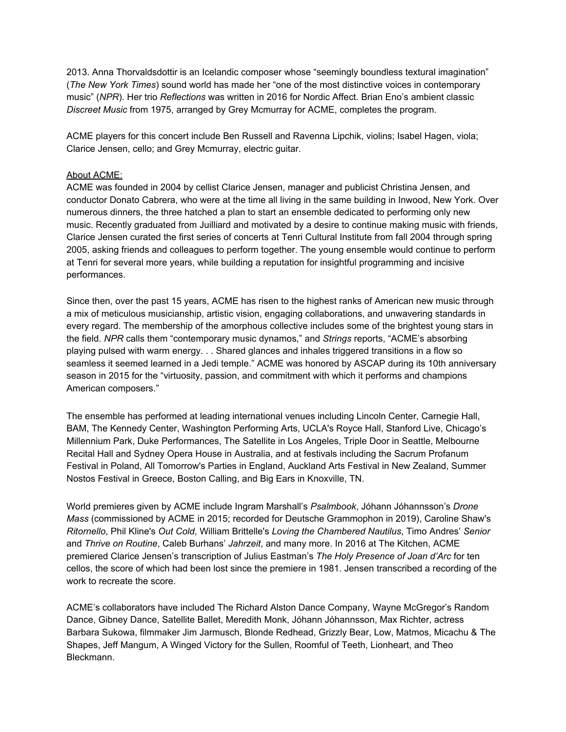2013. Anna Thorvaldsdottir is an Icelandic composer whose "seemingly boundless textural imagination" (*The New York Times*) sound world has made her "one of the most distinctive voices in contemporary music" (*NPR*). Her trio *Reflections* was written in 2016 for Nordic Affect. Brian Eno's ambient classic *Discreet Music* from 1975, arranged by Grey Mcmurray for ACME, completes the program.

ACME players for this concert include Ben Russell and Ravenna Lipchik, violins; Isabel Hagen, viola; Clarice Jensen, cello; and Grey Mcmurray, electric guitar.

#### About ACME:

ACME was founded in 2004 by cellist Clarice Jensen, manager and publicist Christina Jensen, and conductor Donato Cabrera, who were at the time all living in the same building in Inwood, New York. Over numerous dinners, the three hatched a plan to start an ensemble dedicated to performing only new music. Recently graduated from Juilliard and motivated by a desire to continue making music with friends, Clarice Jensen curated the first series of concerts at Tenri Cultural Institute from fall 2004 through spring 2005, asking friends and colleagues to perform together. The young ensemble would continue to perform at Tenri for several more years, while building a reputation for insightful programming and incisive performances.

Since then, over the past 15 years, ACME has risen to the highest ranks of American new music through a mix of meticulous musicianship, artistic vision, engaging collaborations, and unwavering standards in every regard. The membership of the amorphous collective includes some of the brightest young stars in the field. *NPR* calls them "contemporary music dynamos," and *Strings* reports, "ACME's absorbing playing pulsed with warm energy. . . Shared glances and inhales triggered transitions in a flow so seamless it seemed learned in a Jedi temple." ACME was honored by ASCAP during its 10th anniversary season in 2015 for the "virtuosity, passion, and commitment with which it performs and champions American composers."

The ensemble has performed at leading international venues including Lincoln Center, Carnegie Hall, BAM, The Kennedy Center, Washington Performing Arts, UCLA's Royce Hall, Stanford Live, Chicago's Millennium Park, Duke Performances, The Satellite in Los Angeles, Triple Door in Seattle, Melbourne Recital Hall and Sydney Opera House in Australia, and at festivals including the Sacrum Profanum Festival in Poland, All Tomorrow's Parties in England, Auckland Arts Festival in New Zealand, Summer Nostos Festival in Greece, Boston Calling, and Big Ears in Knoxville, TN.

World premieres given by ACME include Ingram Marshall's *Psalmbook*, Jóhann Jóhannsson's *Drone Mass* (commissioned by ACME in 2015; recorded for Deutsche Grammophon in 2019), Caroline Shaw's *Ritornello*, Phil Kline's *Out Cold*, William Brittelle's *Loving the Chambered Nautilus*, Timo Andres' *Senior* and *Thrive on Routine*, Caleb Burhans' *Jahrzeit*, and many more. In 2016 at The Kitchen, ACME premiered Clarice Jensen's transcription of Julius Eastman's *The Holy Presence of Joan d'Arc* for ten cellos, the score of which had been lost since the premiere in 1981. Jensen transcribed a recording of the work to recreate the score.

ACME's collaborators have included The Richard Alston Dance Company, Wayne McGregor's Random Dance, Gibney Dance, Satellite Ballet, Meredith Monk, Jóhann Jóhannsson, Max Richter, actress Barbara Sukowa, filmmaker Jim Jarmusch, Blonde Redhead, Grizzly Bear, Low, Matmos, Micachu & The Shapes, Jeff Mangum, A Winged Victory for the Sullen, Roomful of Teeth, Lionheart, and Theo Bleckmann.